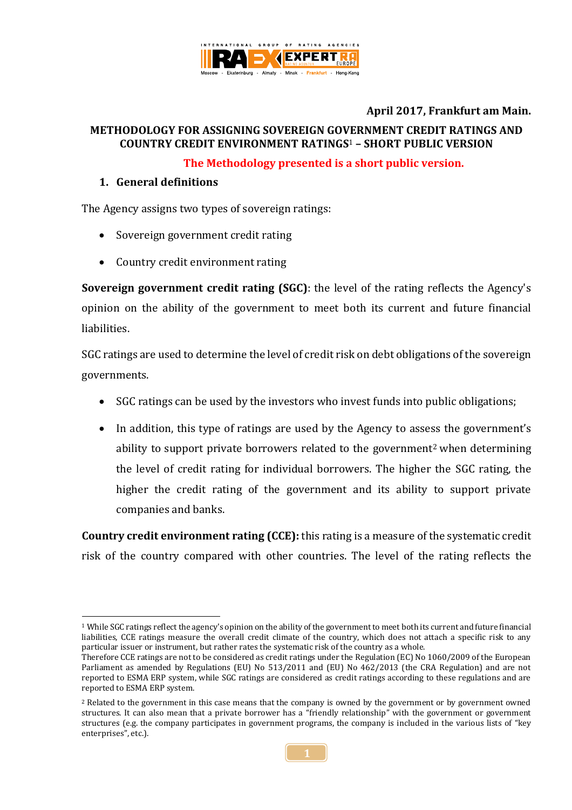

### **April 2017, Frankfurt am Main.**

### **METHODOLOGY FOR ASSIGNING SOVEREIGN GOVERNMENT CREDIT RATINGS AND COUNTRY CREDIT ENVIRONMENT RATINGS**<sup>1</sup> **– SHORT PUBLIC VERSION**

#### **The Methodology presented is a short public version.**

#### **1. General definitions**

The Agency assigns two types of sovereign ratings:

- Sovereign government credit rating
- Country credit environment rating

**Sovereign government credit rating (SGC)**: the level of the rating reflects the Agency's opinion on the ability of the government to meet both its current and future financial liabilities.

SGC ratings are used to determine the level of credit risk on debt obligations of the sovereign governments.

- SGC ratings can be used by the investors who invest funds into public obligations;
- In addition, this type of ratings are used by the Agency to assess the government's ability to support private borrowers related to the government<sup>2</sup> when determining the level of credit rating for individual borrowers. The higher the SGC rating, the higher the credit rating of the government and its ability to support private companies and banks.

**Country credit environment rating (CCE):** this rating is a measure of the systematic credit risk of the country compared with other countries. The level of the rating reflects the

<sup>1</sup> <sup>1</sup> While SGC ratings reflect the agency's opinion on the ability of the government to meet both its current and future financial liabilities, CCE ratings measure the overall credit climate of the country, which does not attach a specific risk to any particular issuer or instrument, but rather rates the systematic risk of the country as a whole.

Therefore CCE ratings are not to be considered as credit ratings under the Regulation (EC) No 1060/2009 of the European Parliament as amended by Regulations (EU) No 513/2011 and (EU) No 462/2013 (the CRA Regulation) and are not reported to ESMA ERP system, while SGC ratings are considered as credit ratings according to these regulations and are reported to ESMA ERP system.

<sup>&</sup>lt;sup>2</sup> Related to the government in this case means that the company is owned by the government or by government owned structures. It can also mean that a private borrower has a "friendly relationship" with the government or government structures (e.g. the company participates in government programs, the company is included in the various lists of "key enterprises", etc.).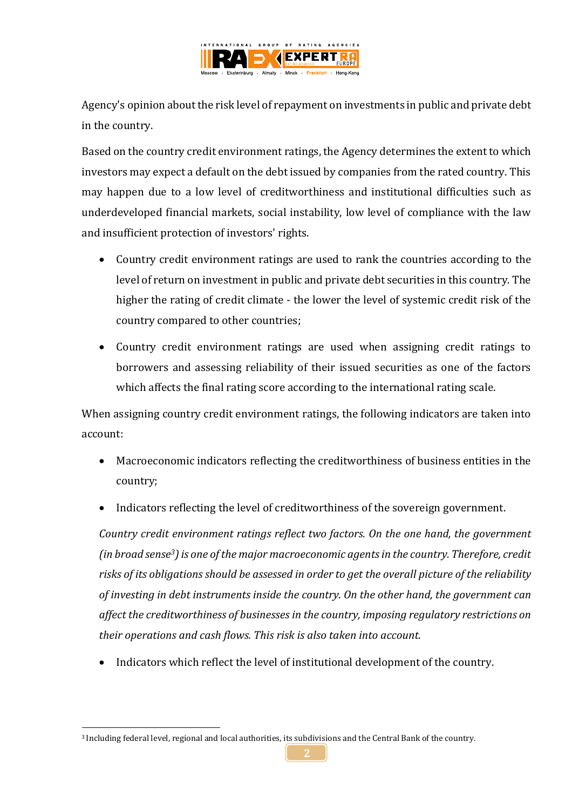

Agency's opinion about the risk level of repayment on investments in public and private debt in the country.

Based on the country credit environment ratings, the Agency determines the extent to which investors may expect a default on the debt issued by companies from the rated country. This may happen due to a low level of creditworthiness and institutional difficulties such as underdeveloped financial markets, social instability, low level of compliance with the law and insufficient protection of investors' rights.

- Country credit environment ratings are used to rank the countries according to the level of return on investment in public and private debt securities in this country. The higher the rating of credit climate - the lower the level of systemic credit risk of the country compared to other countries;
- Country credit environment ratings are used when assigning credit ratings to borrowers and assessing reliability of their issued securities as one of the factors which affects the final rating score according to the international rating scale.

When assigning country credit environment ratings, the following indicators are taken into account:

- Macroeconomic indicators reflecting the creditworthiness of business entities in the country;
- Indicators reflecting the level of creditworthiness of the sovereign government.

*Country credit environment ratings reflect two factors. On the one hand, the government (in broad sense3) is one of the major macroeconomic agents in the country. Therefore, credit risks of its obligations should be assessed in order to get the overall picture of the reliability of investing in debt instruments inside the country. On the other hand, the government can affect the creditworthiness of businesses in the country, imposing regulatory restrictions on their operations and cash flows. This risk is also taken into account.*

Indicators which reflect the level of institutional development of the country.

<sup>1</sup> <sup>3</sup> Including federal level, regional and local authorities, its subdivisions and the Central Bank of the country.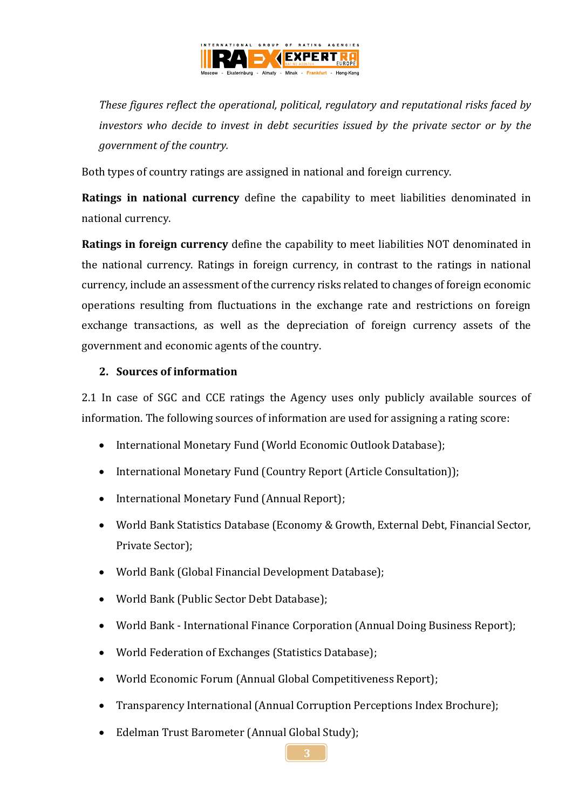

*These figures reflect the operational, political, regulatory and reputational risks faced by investors who decide to invest in debt securities issued by the private sector or by the government of the country.*

Both types of country ratings are assigned in national and foreign currency.

**Ratings in national currency** define the capability to meet liabilities denominated in national currency.

**Ratings in foreign currency** define the capability to meet liabilities NOT denominated in the national currency. Ratings in foreign currency, in contrast to the ratings in national currency, include an assessment of the currency risks related to changes of foreign economic operations resulting from fluctuations in the exchange rate and restrictions on foreign exchange transactions, as well as the depreciation of foreign currency assets of the government and economic agents of the country.

#### **2. Sources of information**

2.1 In case of SGC and CCE ratings the Agency uses only publicly available sources of information. The following sources of information are used for assigning a rating score:

- International Monetary Fund (World Economic Outlook Database);
- International Monetary Fund (Country Report (Article Consultation));
- International Monetary Fund (Annual Report);
- World Bank Statistics Database (Economy & Growth, External Debt, Financial Sector, Private Sector);
- World Bank (Global Financial Development Database);
- World Bank (Public Sector Debt Database);
- World Bank International Finance Corporation (Annual Doing Business Report);
- World Federation of Exchanges (Statistics Database);
- World Economic Forum (Annual Global Competitiveness Report);
- Transparency International (Annual Corruption Perceptions Index Brochure);
- Edelman Trust Barometer (Annual Global Study);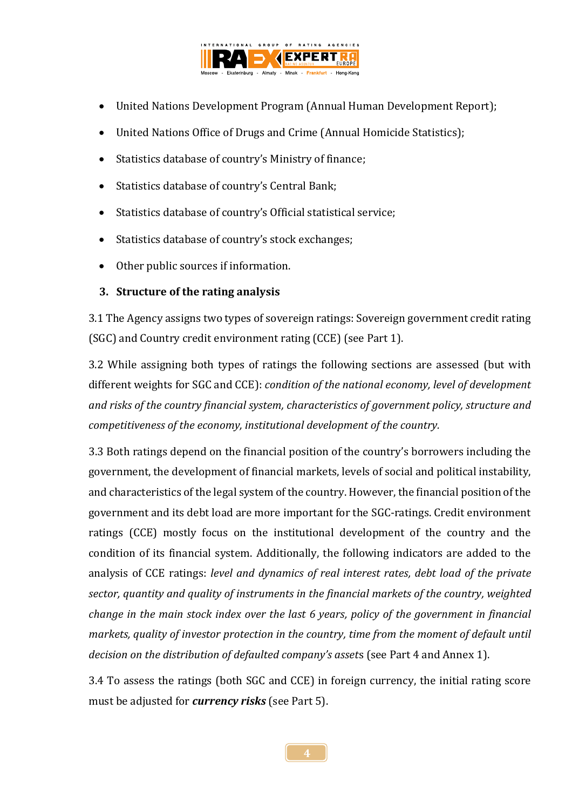

- United Nations Development Program (Annual Human Development Report);
- United Nations Office of Drugs and Crime (Annual Homicide Statistics);
- Statistics database of country's Ministry of finance;
- Statistics database of country's Central Bank;
- Statistics database of country's Official statistical service;
- Statistics database of country's stock exchanges;
- Other public sources if information.

## **3. Structure of the rating analysis**

3.1 The Agency assigns two types of sovereign ratings: Sovereign government credit rating (SGC) and Country credit environment rating (CCE) (see Part 1).

3.2 While assigning both types of ratings the following sections are assessed (but with different weights for SGC and CCE): *condition of the national economy, level of development and risks of the country financial system, characteristics of government policy, structure and competitiveness of the economy, institutional development of the country.*

3.3 Both ratings depend on the financial position of the country's borrowers including the government, the development of financial markets, levels of social and political instability, and characteristics of the legal system of the country. However, the financial position of the government and its debt load are more important for the SGC-ratings. Credit environment ratings (CCE) mostly focus on the institutional development of the country and the condition of its financial system. Additionally, the following indicators are added to the analysis of CCE ratings: *level and dynamics of real interest rates, debt load of the private sector, quantity and quality of instruments in the financial markets of the country, weighted change in the main stock index over the last 6 years, policy of the government in financial markets, quality of investor protection in the country, time from the moment of default until decision on the distribution of defaulted company's asset*s (see Part 4 and Annex 1).

3.4 To assess the ratings (both SGC and CCE) in foreign currency, the initial rating score must be adjusted for *currency risks* (see Part 5).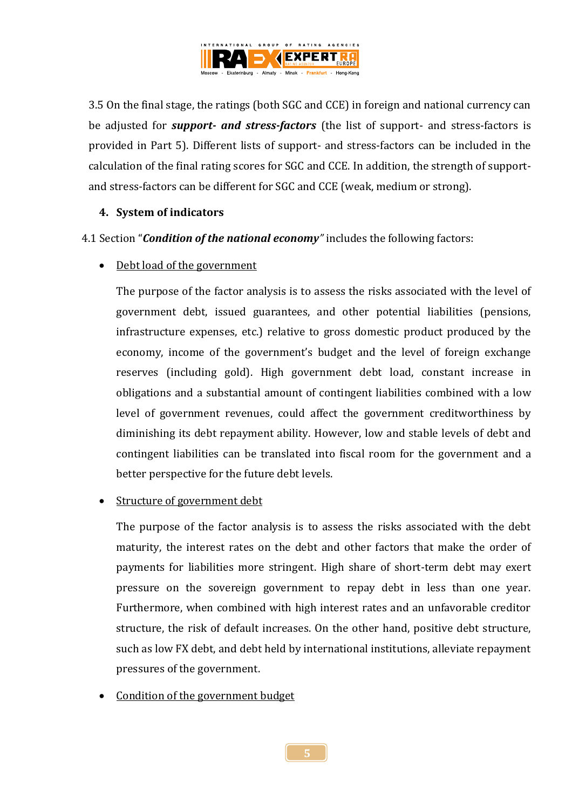

3.5 On the final stage, the ratings (both SGC and CCE) in foreign and national currency can be adjusted for *support- and stress-factors* (the list of support- and stress-factors is provided in Part 5). Different lists of support- and stress-factors can be included in the calculation of the final rating scores for SGC and CCE. In addition, the strength of supportand stress-factors can be different for SGC and CCE (weak, medium or strong).

#### **4. System of indicators**

4.1 Section "*Condition of the national economy"* includes the following factors:

Debt load of the government

The purpose of the factor analysis is to assess the risks associated with the level of government debt, issued guarantees, and other potential liabilities (pensions, infrastructure expenses, etc.) relative to gross domestic product produced by the economy, income of the government's budget and the level of foreign exchange reserves (including gold). High government debt load, constant increase in obligations and a substantial amount of contingent liabilities combined with a low level of government revenues, could affect the government creditworthiness by diminishing its debt repayment ability. However, low and stable levels of debt and contingent liabilities can be translated into fiscal room for the government and a better perspective for the future debt levels.

#### Structure of government debt

The purpose of the factor analysis is to assess the risks associated with the debt maturity, the interest rates on the debt and other factors that make the order of payments for liabilities more stringent. High share of short-term debt may exert pressure on the sovereign government to repay debt in less than one year. Furthermore, when combined with high interest rates and an unfavorable creditor structure, the risk of default increases. On the other hand, positive debt structure, such as low FX debt, and debt held by international institutions, alleviate repayment pressures of the government.

Condition of the government budget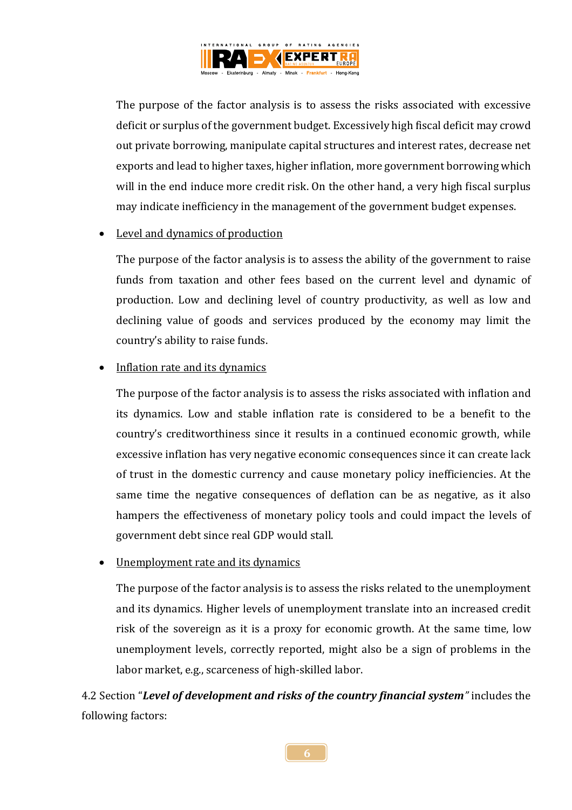

The purpose of the factor analysis is to assess the risks associated with excessive deficit or surplus of the government budget. Excessively high fiscal deficit may crowd out private borrowing, manipulate capital structures and interest rates, decrease net exports and lead to higher taxes, higher inflation, more government borrowing which will in the end induce more credit risk. On the other hand, a very high fiscal surplus may indicate inefficiency in the management of the government budget expenses.

#### • Level and dynamics of production

The purpose of the factor analysis is to assess the ability of the government to raise funds from taxation and other fees based on the current level and dynamic of production. Low and declining level of country productivity, as well as low and declining value of goods and services produced by the economy may limit the country's ability to raise funds.

#### Inflation rate and its dynamics

The purpose of the factor analysis is to assess the risks associated with inflation and its dynamics. Low and stable inflation rate is considered to be a benefit to the country's creditworthiness since it results in a continued economic growth, while excessive inflation has very negative economic consequences since it can create lack of trust in the domestic currency and cause monetary policy inefficiencies. At the same time the negative consequences of deflation can be as negative, as it also hampers the effectiveness of monetary policy tools and could impact the levels of government debt since real GDP would stall.

#### • Unemployment rate and its dynamics

The purpose of the factor analysis is to assess the risks related to the unemployment and its dynamics. Higher levels of unemployment translate into an increased credit risk of the sovereign as it is a proxy for economic growth. At the same time, low unemployment levels, correctly reported, might also be a sign of problems in the labor market, e.g., scarceness of high-skilled labor.

4.2 Section "*Level of development and risks of the country financial system"* includes the following factors: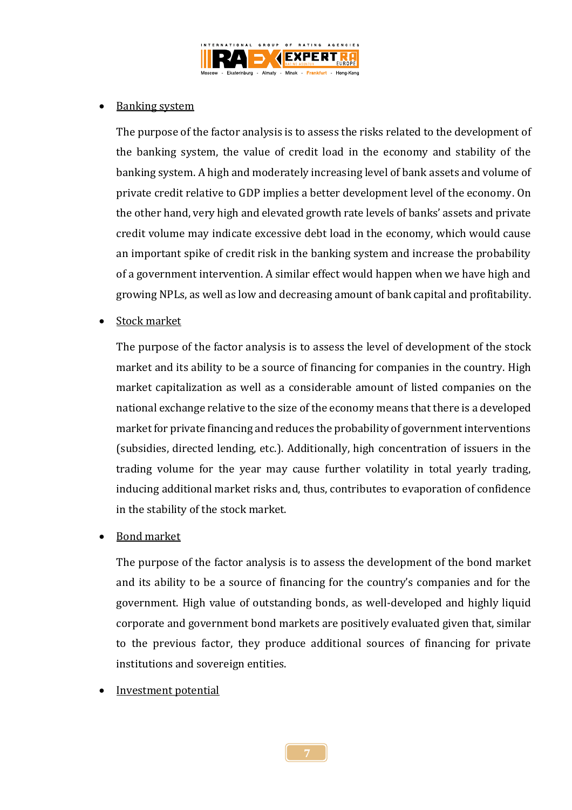

## Banking system

The purpose of the factor analysis is to assess the risks related to the development of the banking system, the value of credit load in the economy and stability of the banking system. A high and moderately increasing level of bank assets and volume of private credit relative to GDP implies a better development level of the economy. On the other hand, very high and elevated growth rate levels of banks' assets and private credit volume may indicate excessive debt load in the economy, which would cause an important spike of credit risk in the banking system and increase the probability of a government intervention. A similar effect would happen when we have high and growing NPLs, as well as low and decreasing amount of bank capital and profitability.

Stock market

The purpose of the factor analysis is to assess the level of development of the stock market and its ability to be a source of financing for companies in the country. High market capitalization as well as a considerable amount of listed companies on the national exchange relative to the size of the economy means that there is a developed market for private financing and reduces the probability of government interventions (subsidies, directed lending, etc.). Additionally, high concentration of issuers in the trading volume for the year may cause further volatility in total yearly trading, inducing additional market risks and, thus, contributes to evaporation of confidence in the stability of the stock market.

Bond market

The purpose of the factor analysis is to assess the development of the bond market and its ability to be a source of financing for the country's companies and for the government. High value of outstanding bonds, as well-developed and highly liquid corporate and government bond markets are positively evaluated given that, similar to the previous factor, they produce additional sources of financing for private institutions and sovereign entities.

Investment potential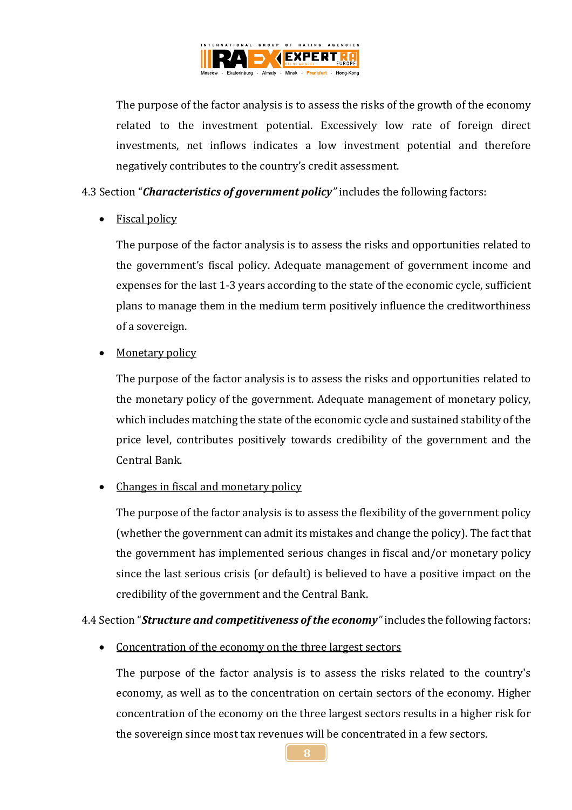

The purpose of the factor analysis is to assess the risks of the growth of the economy related to the investment potential. Excessively low rate of foreign direct investments, net inflows indicates a low investment potential and therefore negatively contributes to the country's credit assessment.

4.3 Section "*Characteristics of government policy"* includes the following factors:

## Fiscal policy

The purpose of the factor analysis is to assess the risks and opportunities related to the government's fiscal policy. Adequate management of government income and expenses for the last 1-3 years according to the state of the economic cycle, sufficient plans to manage them in the medium term positively influence the creditworthiness of a sovereign.

## • Monetary policy

The purpose of the factor analysis is to assess the risks and opportunities related to the monetary policy of the government. Adequate management of monetary policy, which includes matching the state of the economic cycle and sustained stability of the price level, contributes positively towards credibility of the government and the Central Bank.

## • Changes in fiscal and monetary policy

The purpose of the factor analysis is to assess the flexibility of the government policy (whether the government can admit its mistakes and change the policy). The fact that the government has implemented serious changes in fiscal and/or monetary policy since the last serious crisis (or default) is believed to have a positive impact on the credibility of the government and the Central Bank.

4.4 Section "*Structure and competitiveness of the economy"* includes the following factors:

• Concentration of the economy on the three largest sectors

The purpose of the factor analysis is to assess the risks related to the country's economy, as well as to the concentration on certain sectors of the economy. Higher concentration of the economy on the three largest sectors results in a higher risk for the sovereign since most tax revenues will be concentrated in a few sectors.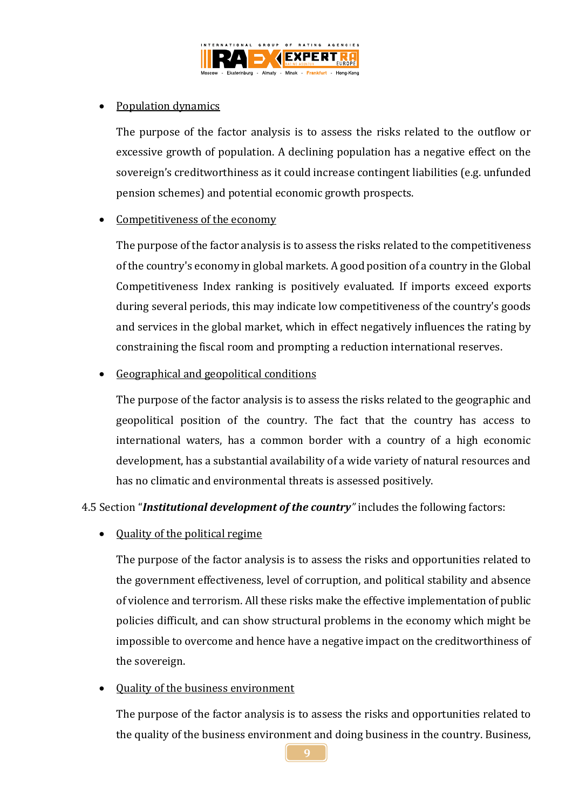

## Population dynamics

The purpose of the factor analysis is to assess the risks related to the outflow or excessive growth of population. A declining population has a negative effect on the sovereign's creditworthiness as it could increase contingent liabilities (e.g. unfunded pension schemes) and potential economic growth prospects.

## Competitiveness of the economy

The purpose of the factor analysis is to assess the risks related to the competitiveness of the country's economy in global markets. A good position of a country in the Global Competitiveness Index ranking is positively evaluated. If imports exceed exports during several periods, this may indicate low competitiveness of the country's goods and services in the global market, which in effect negatively influences the rating by constraining the fiscal room and prompting a reduction international reserves.

#### Geographical and geopolitical conditions

The purpose of the factor analysis is to assess the risks related to the geographic and geopolitical position of the country. The fact that the country has access to international waters, has a common border with a country of a high economic development, has a substantial availability of a wide variety of natural resources and has no climatic and environmental threats is assessed positively.

4.5 Section "*Institutional development of the country"* includes the following factors:

• Quality of the political regime

The purpose of the factor analysis is to assess the risks and opportunities related to the government effectiveness, level of corruption, and political stability and absence of violence and terrorism. All these risks make the effective implementation of public policies difficult, and can show structural problems in the economy which might be impossible to overcome and hence have a negative impact on the creditworthiness of the sovereign.

## • Quality of the business environment

The purpose of the factor analysis is to assess the risks and opportunities related to the quality of the business environment and doing business in the country. Business,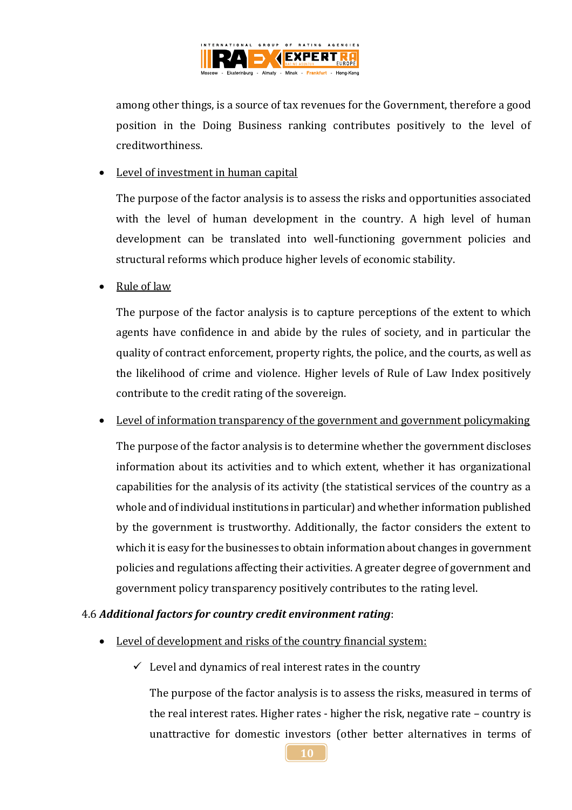

among other things, is a source of tax revenues for the Government, therefore a good position in the Doing Business ranking contributes positively to the level of creditworthiness.

#### • Level of investment in human capital

The purpose of the factor analysis is to assess the risks and opportunities associated with the level of human development in the country. A high level of human development can be translated into well-functioning government policies and structural reforms which produce higher levels of economic stability.

Rule of law

The purpose of the factor analysis is to capture perceptions of the extent to which agents have confidence in and abide by the rules of society, and in particular the quality of contract enforcement, property rights, the police, and the courts, as well as the likelihood of crime and violence. Higher levels of Rule of Law Index positively contribute to the credit rating of the sovereign.

Level of information transparency of the government and government policymaking

The purpose of the factor analysis is to determine whether the government discloses information about its activities and to which extent, whether it has organizational capabilities for the analysis of its activity (the statistical services of the country as a whole and of individual institutions in particular) and whether information published by the government is trustworthy. Additionally, the factor considers the extent to which it is easy for the businesses to obtain information about changes in government policies and regulations affecting their activities. A greater degree of government and government policy transparency positively contributes to the rating level.

#### 4.6 *Additional factors for country credit environment rating*:

- Level of development and risks of the country financial system:
	- $\checkmark$  Level and dynamics of real interest rates in the country

The purpose of the factor analysis is to assess the risks, measured in terms of the real interest rates. Higher rates - higher the risk, negative rate – country is unattractive for domestic investors (other better alternatives in terms of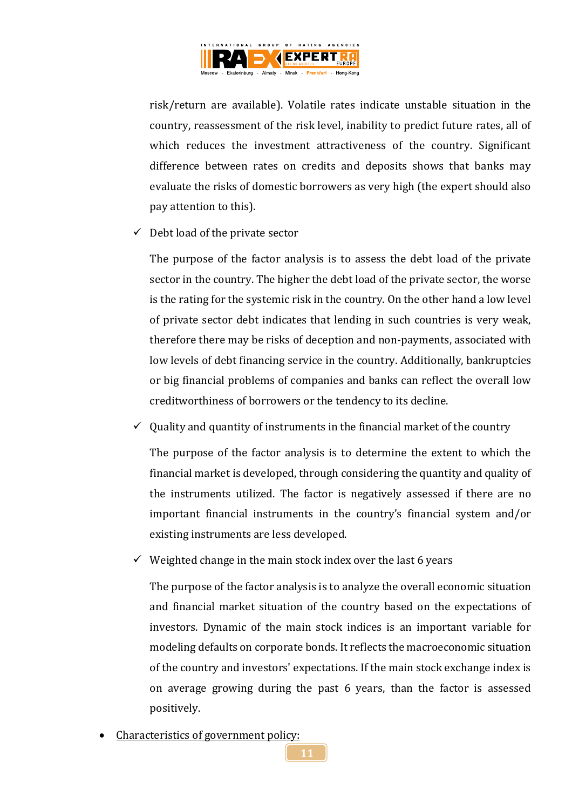

risk/return are available). Volatile rates indicate unstable situation in the country, reassessment of the risk level, inability to predict future rates, all of which reduces the investment attractiveness of the country. Significant difference between rates on credits and deposits shows that banks may evaluate the risks of domestic borrowers as very high (the expert should also pay attention to this).

 $\checkmark$  Debt load of the private sector

The purpose of the factor analysis is to assess the debt load of the private sector in the country. The higher the debt load of the private sector, the worse is the rating for the systemic risk in the country. On the other hand a low level of private sector debt indicates that lending in such countries is very weak, therefore there may be risks of deception and non-payments, associated with low levels of debt financing service in the country. Additionally, bankruptcies or big financial problems of companies and banks can reflect the overall low creditworthiness of borrowers or the tendency to its decline.

 $\checkmark$  0uality and quantity of instruments in the financial market of the country

The purpose of the factor analysis is to determine the extent to which the financial market is developed, through considering the quantity and quality of the instruments utilized. The factor is negatively assessed if there are no important financial instruments in the country's financial system and/or existing instruments are less developed.

 $\checkmark$  Weighted change in the main stock index over the last 6 years

The purpose of the factor analysis is to analyze the overall economic situation and financial market situation of the country based on the expectations of investors. Dynamic of the main stock indices is an important variable for modeling defaults on corporate bonds. It reflects the macroeconomic situation of the country and investors' expectations. If the main stock exchange index is on average growing during the past 6 years, than the factor is assessed positively.

Characteristics of government policy: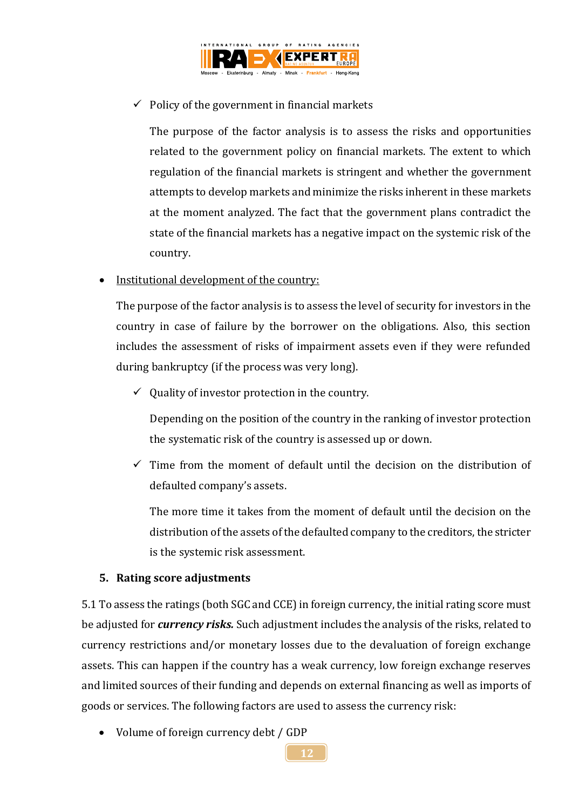

# $\checkmark$  Policy of the government in financial markets

The purpose of the factor analysis is to assess the risks and opportunities related to the government policy on financial markets. The extent to which regulation of the financial markets is stringent and whether the government attempts to develop markets and minimize the risks inherent in these markets at the moment analyzed. The fact that the government plans contradict the state of the financial markets has a negative impact on the systemic risk of the country.

## • Institutional development of the country:

The purpose of the factor analysis is to assess the level of security for investors in the country in case of failure by the borrower on the obligations. Also, this section includes the assessment of risks of impairment assets even if they were refunded during bankruptcy (if the process was very long).

 $\checkmark$  Quality of investor protection in the country.

Depending on the position of the country in the ranking of investor protection the systematic risk of the country is assessed up or down.

 $\checkmark$  Time from the moment of default until the decision on the distribution of defaulted company's assets.

The more time it takes from the moment of default until the decision on the distribution of the assets of the defaulted company to the creditors, the stricter is the systemic risk assessment.

#### **5. Rating score adjustments**

5.1 To assess the ratings (both SGC and CCE) in foreign currency, the initial rating score must be adjusted for *currency risks.* Such adjustment includes the analysis of the risks, related to currency restrictions and/or monetary losses due to the devaluation of foreign exchange assets. This can happen if the country has a weak currency, low foreign exchange reserves and limited sources of their funding and depends on external financing as well as imports of goods or services. The following factors are used to assess the currency risk:

• Volume of foreign currency debt / GDP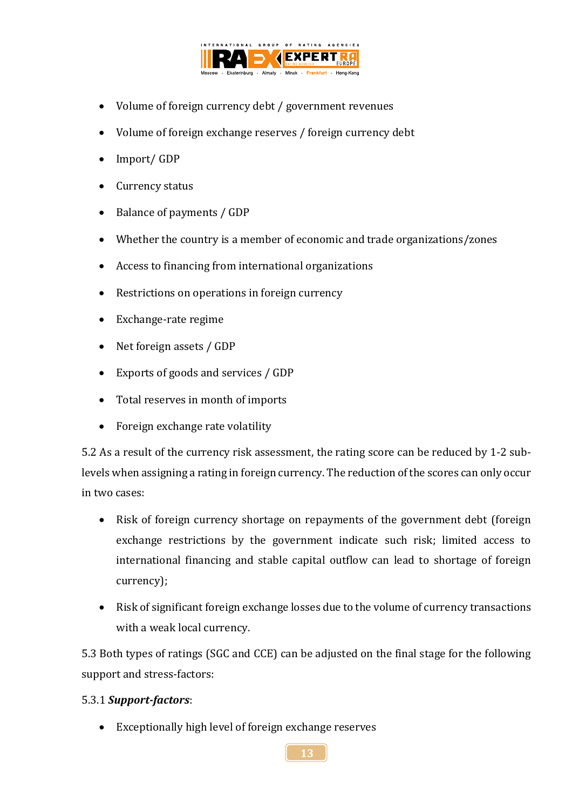

- Volume of foreign currency debt / government revenues
- Volume of foreign exchange reserves / foreign currency debt
- Import/ GDP
- Currency status
- Balance of payments / GDP
- Whether the country is a member of economic and trade organizations/zones
- Access to financing from international organizations
- Restrictions on operations in foreign currency
- Exchange-rate regime
- Net foreign assets / GDP
- Exports of goods and services / GDP
- Total reserves in month of imports
- Foreign exchange rate volatility

5.2 As a result of the currency risk assessment, the rating score can be reduced by 1-2 sublevels when assigning a rating in foreign currency. The reduction of the scores can only occur in two cases:

- Risk of foreign currency shortage on repayments of the government debt (foreign exchange restrictions by the government indicate such risk; limited access to international financing and stable capital outflow can lead to shortage of foreign currency);
- Risk of significant foreign exchange losses due to the volume of currency transactions with a weak local currency.

5.3 Both types of ratings (SGC and CCE) can be adjusted on the final stage for the following support and stress-factors:

## 5.3.1 *Support-factors*:

Exceptionally high level of foreign exchange reserves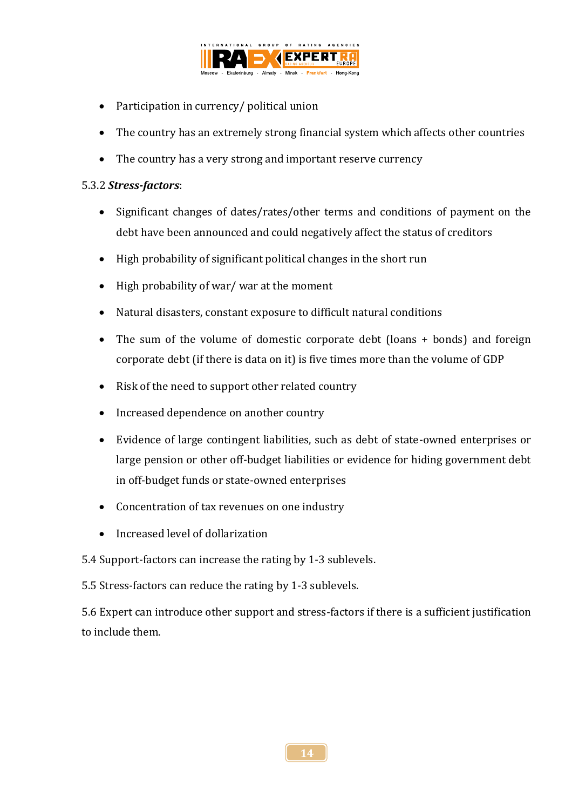

- Participation in currency/ political union
- The country has an extremely strong financial system which affects other countries
- The country has a very strong and important reserve currency

#### 5.3.2 *Stress-factors*:

- Significant changes of dates/rates/other terms and conditions of payment on the debt have been announced and could negatively affect the status of creditors
- High probability of significant political changes in the short run
- High probability of war/ war at the moment
- Natural disasters, constant exposure to difficult natural conditions
- The sum of the volume of domestic corporate debt (loans + bonds) and foreign corporate debt (if there is data on it) is five times more than the volume of GDP
- Risk of the need to support other related country
- Increased dependence on another country
- Evidence of large contingent liabilities, such as debt of state-owned enterprises or large pension or other off-budget liabilities or evidence for hiding government debt in off-budget funds or state-owned enterprises
- Concentration of tax revenues on one industry
- Increased level of dollarization
- 5.4 Support-factors can increase the rating by 1-3 sublevels.

5.5 Stress-factors can reduce the rating by 1-3 sublevels.

5.6 Expert can introduce other support and stress-factors if there is a sufficient justification to include them.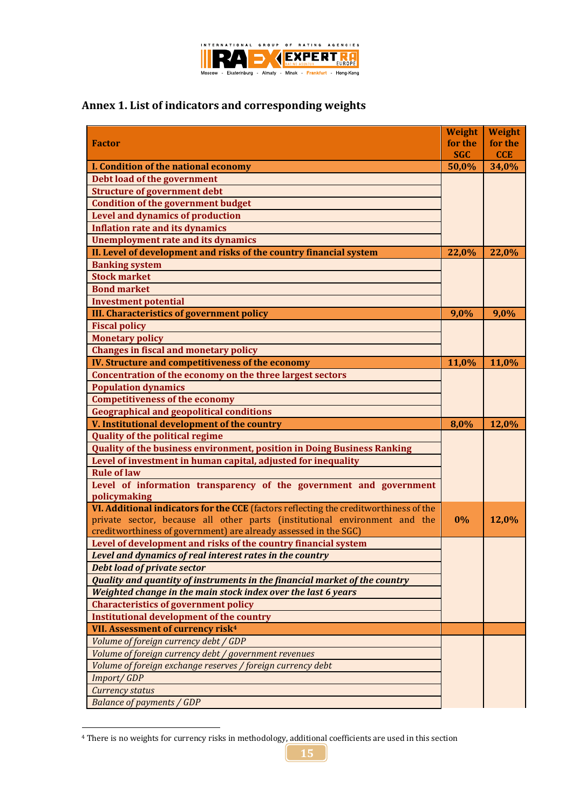

# **Annex 1. List of indicators and corresponding weights**

|                                                                                       | Weight     | <b>Weight</b> |
|---------------------------------------------------------------------------------------|------------|---------------|
| <b>Factor</b>                                                                         | for the    | for the       |
|                                                                                       | <b>SGC</b> | <b>CCE</b>    |
| I. Condition of the national economy                                                  | 50,0%      | 34,0%         |
| Debt load of the government                                                           |            |               |
| <b>Structure of government debt</b>                                                   |            |               |
| <b>Condition of the government budget</b>                                             |            |               |
| <b>Level and dynamics of production</b>                                               |            |               |
| <b>Inflation rate and its dynamics</b>                                                |            |               |
| <b>Unemployment rate and its dynamics</b>                                             |            |               |
| II. Level of development and risks of the country financial system                    | 22,0%      | 22,0%         |
| <b>Banking system</b>                                                                 |            |               |
| <b>Stock market</b>                                                                   |            |               |
| <b>Bond market</b>                                                                    |            |               |
| <b>Investment potential</b>                                                           |            |               |
| <b>III. Characteristics of government policy</b>                                      | 9,0%       | 9,0%          |
| <b>Fiscal policy</b>                                                                  |            |               |
| <b>Monetary policy</b>                                                                |            |               |
| <b>Changes in fiscal and monetary policy</b>                                          |            |               |
| IV. Structure and competitiveness of the economy                                      | 11,0%      | 11,0%         |
| Concentration of the economy on the three largest sectors                             |            |               |
| <b>Population dynamics</b>                                                            |            |               |
| <b>Competitiveness of the economy</b>                                                 |            |               |
| <b>Geographical and geopolitical conditions</b>                                       |            |               |
|                                                                                       |            |               |
| V. Institutional development of the country                                           | 8,0%       | 12,0%         |
| <b>Quality of the political regime</b>                                                |            |               |
| <b>Quality of the business environment, position in Doing Business Ranking</b>        |            |               |
| Level of investment in human capital, adjusted for inequality                         |            |               |
| <b>Rule of law</b>                                                                    |            |               |
| Level of information transparency of the government and government                    |            |               |
| policymaking                                                                          |            |               |
| VI. Additional indicators for the CCE (factors reflecting the creditworthiness of the |            |               |
| private sector, because all other parts (institutional environment and the            | 0%         | 12,0%         |
| creditworthiness of government) are already assessed in the SGC)                      |            |               |
| Level of development and risks of the country financial system                        |            |               |
| Level and dynamics of real interest rates in the country                              |            |               |
| <b>Debt load of private sector</b>                                                    |            |               |
| Quality and quantity of instruments in the financial market of the country            |            |               |
| Weighted change in the main stock index over the last 6 years                         |            |               |
| <b>Characteristics of government policy</b>                                           |            |               |
| <b>Institutional development of the country</b>                                       |            |               |
| VII. Assessment of currency risk <sup>4</sup>                                         |            |               |
| Volume of foreign currency debt / GDP                                                 |            |               |
| Volume of foreign currency debt / government revenues                                 |            |               |
| Volume of foreign exchange reserves / foreign currency debt                           |            |               |
| Import/GDP                                                                            |            |               |
| <b>Currency status</b><br><b>Balance of payments / GDP</b>                            |            |               |

<sup>&</sup>lt;sup>4</sup> There is no weights for currency risks in methodology, additional coefficients are used in this section

1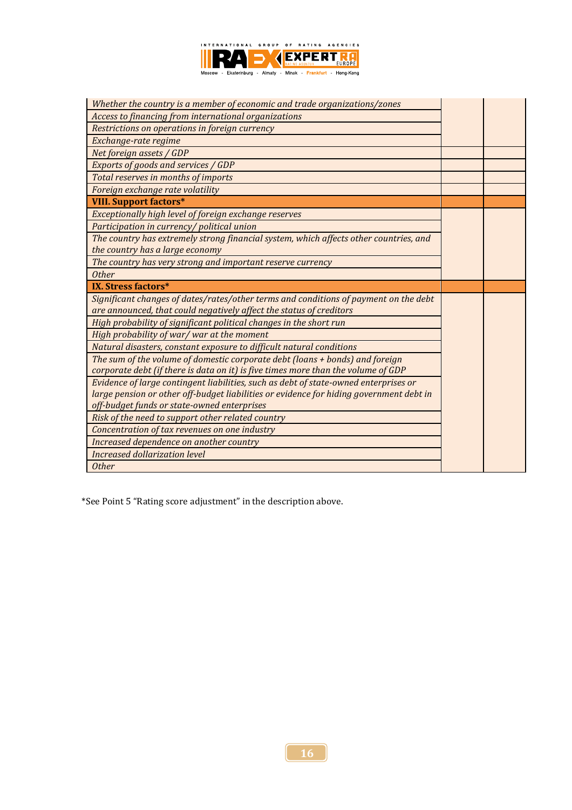

| Whether the country is a member of economic and trade organizations/zones               |  |
|-----------------------------------------------------------------------------------------|--|
| Access to financing from international organizations                                    |  |
| Restrictions on operations in foreign currency                                          |  |
| Exchange-rate regime                                                                    |  |
| Net foreign assets / GDP                                                                |  |
| Exports of goods and services / GDP                                                     |  |
| Total reserves in months of imports                                                     |  |
| Foreign exchange rate volatility                                                        |  |
| <b>VIII. Support factors*</b>                                                           |  |
| Exceptionally high level of foreign exchange reserves                                   |  |
| Participation in currency/political union                                               |  |
| The country has extremely strong financial system, which affects other countries, and   |  |
| the country has a large economy                                                         |  |
| The country has very strong and important reserve currency                              |  |
| <b>Other</b>                                                                            |  |
|                                                                                         |  |
| IX. Stress factors*                                                                     |  |
| Significant changes of dates/rates/other terms and conditions of payment on the debt    |  |
| are announced, that could negatively affect the status of creditors                     |  |
| High probability of significant political changes in the short run                      |  |
| High probability of war/ war at the moment                                              |  |
| Natural disasters, constant exposure to difficult natural conditions                    |  |
| The sum of the volume of domestic corporate debt (loans + bonds) and foreign            |  |
| corporate debt (if there is data on it) is five times more than the volume of GDP       |  |
| Evidence of large contingent liabilities, such as debt of state-owned enterprises or    |  |
| large pension or other off-budget liabilities or evidence for hiding government debt in |  |
| off-budget funds or state-owned enterprises                                             |  |
| Risk of the need to support other related country                                       |  |
| Concentration of tax revenues on one industry                                           |  |
| Increased dependence on another country                                                 |  |
| Increased dollarization level<br><b>Other</b>                                           |  |

\*See Point 5 "Rating score adjustment" in the description above.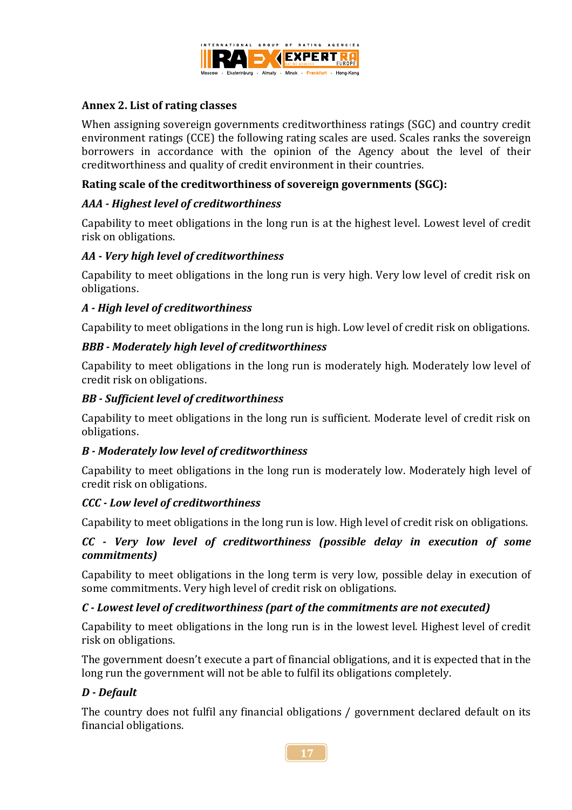

#### **Annex 2. List of rating classes**

When assigning sovereign governments creditworthiness ratings (SGC) and country credit environment ratings (CCE) the following rating scales are used. Scales ranks the sovereign borrowers in accordance with the opinion of the Agency about the level of their creditworthiness and quality of credit environment in their countries.

#### **Rating scale of the creditworthiness of sovereign governments (SGC):**

#### *AAA - Highest level of creditworthiness*

Capability to meet obligations in the long run is at the highest level. Lowest level of credit risk on obligations.

#### *AA - Very high level of creditworthiness*

Capability to meet obligations in the long run is very high. Very low level of credit risk on obligations.

#### *A - High level of creditworthiness*

Capability to meet obligations in the long run is high. Low level of credit risk on obligations.

#### *BBB - Moderately high level of creditworthiness*

Capability to meet obligations in the long run is moderately high. Moderately low level of credit risk on obligations.

#### *BB - Sufficient level of creditworthiness*

Capability to meet obligations in the long run is sufficient. Moderate level of credit risk on obligations.

## *B - Moderately low level of creditworthiness*

Capability to meet obligations in the long run is moderately low. Moderately high level of credit risk on obligations.

#### *CCC - Low level of creditworthiness*

Capability to meet obligations in the long run is low. High level of credit risk on obligations.

## *CC - Very low level of creditworthiness (possible delay in execution of some commitments)*

Capability to meet obligations in the long term is very low, possible delay in execution of some commitments. Very high level of credit risk on obligations.

#### *C - Lowest level of creditworthiness (part of the commitments are not executed)*

Capability to meet obligations in the long run is in the lowest level. Highest level of credit risk on obligations.

The government doesn't execute a part of financial obligations, and it is expected that in the long run the government will not be able to fulfil its obligations completely.

## *D - Default*

The country does not fulfil any financial obligations / government declared default on its financial obligations.

**17**